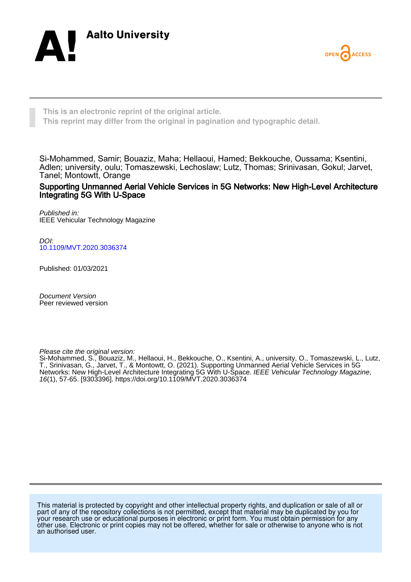



**This is an electronic reprint of the original article. This reprint may differ from the original in pagination and typographic detail.**

Si-Mohammed, Samir; Bouaziz, Maha; Hellaoui, Hamed; Bekkouche, Oussama; Ksentini, Adlen; university, oulu; Tomaszewski, Lechoslaw; Lutz, Thomas; Srinivasan, Gokul; Jarvet, Tanel; Montowtt, Orange

Supporting Unmanned Aerial Vehicle Services in 5G Networks: New High-Level Architecture Integrating 5G With U-Space

Published in: IEEE Vehicular Technology Magazine

DOI: [10.1109/MVT.2020.3036374](https://doi.org/10.1109/MVT.2020.3036374)

Published: 01/03/2021

Document Version Peer reviewed version

Please cite the original version:

Si-Mohammed, S., Bouaziz, M., Hellaoui, H., Bekkouche, O., Ksentini, A., university, O., Tomaszewski, L., Lutz, T., Srinivasan, G., Jarvet, T., & Montowtt, O. (2021). Supporting Unmanned Aerial Vehicle Services in 5G Networks: New High-Level Architecture Integrating 5G With U-Space. *IEEE Vehicular Technology Magazine*, 16(1), 57-65. [9303396].<https://doi.org/10.1109/MVT.2020.3036374>

This material is protected by copyright and other intellectual property rights, and duplication or sale of all or part of any of the repository collections is not permitted, except that material may be duplicated by you for your research use or educational purposes in electronic or print form. You must obtain permission for any other use. Electronic or print copies may not be offered, whether for sale or otherwise to anyone who is not an authorised user.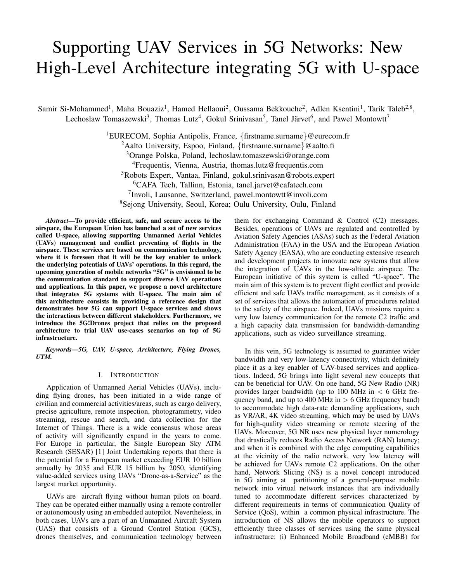# Supporting UAV Services in 5G Networks: New High-Level Architecture integrating 5G with U-space

Samir Si-Mohammed<sup>1</sup>, Maha Bouaziz<sup>1</sup>, Hamed Hellaoui<sup>2</sup>, Oussama Bekkouche<sup>2</sup>, Adlen Ksentini<sup>1</sup>, Tarik Taleb<sup>2,8</sup>, Lechosław Tomaszewski<sup>3</sup>, Thomas Lutz<sup>4</sup>, Gokul Srinivasan<sup>5</sup>, Tanel Järvet<sup>6</sup>, and Pawel Montowtt<sup>7</sup>

> EURECOM, Sophia Antipolis, France, {firstname.surname}@eurecom.fr <sup>2</sup>Aalto University, Espoo, Finland, {firstname.surname}@aalto.fi Orange Polska, Poland, lechoslaw.tomaszewski@orange.com Frequentis, Vienna, Austria, thomas.lutz@frequentis.com Robots Expert, Vantaa, Finland, gokul.srinivasan@robots.expert CAFA Tech, Tallinn, Estonia, tanel.jarvet@cafatech.com Involi, Lausanne, Switzerland, pawel.montowtt@involi.com Sejong University, Seoul, Korea; Oulu University, Oulu, Finland

*Abstract*—To provide efficient, safe, and secure access to the airspace, the European Union has launched a set of new services called U-space, allowing supporting Unmanned Aerial Vehicles (UAVs) management and conflict preventing of flights in the airspace. These services are based on communication technology, where it is foreseen that it will be the key enabler to unlock the underlying potentials of UAVs' operations. In this regard, the upcoming generation of mobile networks "5G" is envisioned to be the communication standard to support diverse UAV operations and applications. In this paper, we propose a novel architecture that integrates 5G systems with U-space. The main aim of this architecture consists in providing a reference design that demonstrates how 5G can support U-space services and shows the interactions between different stakeholders. Furthermore, we introduce the 5G!Drones project that relies on the proposed architecture to trial UAV use-cases scenarios on top of 5G infrastructure.

*Keywords*—*5G, UAV, U-space, Architecture, Flying Drones, UTM.*

#### I. INTRODUCTION

Application of Unmanned Aerial Vehicles (UAVs), including flying drones, has been initiated in a wide range of civilian and commercial activities/areas, such as cargo delivery, precise agriculture, remote inspection, photogrammetry, video streaming, rescue and search, and data collection for the Internet of Things. There is a wide consensus whose areas of activity will significantly expand in the years to come. For Europe in particular, the Single European Sky ATM Research (SESAR) [1] Joint Undertaking reports that there is the potential for a European market exceeding EUR 10 billion annually by 2035 and EUR 15 billion by 2050, identifying value-added services using UAVs "Drone-as-a-Service" as the largest market opportunity.

UAVs are aircraft flying without human pilots on board. They can be operated either manually using a remote controller or autonomously using an embedded autopilot. Nevertheless, in both cases, UAVs are a part of an Unmanned Aircraft System (UAS) that consists of a Ground Control Station (GCS), drones themselves, and communication technology between them for exchanging Command & Control (C2) messages. Besides, operations of UAVs are regulated and controlled by Aviation Safety Agencies (ASAs) such as the Federal Aviation Administration (FAA) in the USA and the European Aviation Safety Agency (EASA), who are conducting extensive research and development projects to innovate new systems that allow the integration of UAVs in the low-altitude airspace. The European initiative of this system is called "U-space". The main aim of this system is to prevent flight conflict and provide efficient and safe UAVs traffic management, as it consists of a set of services that allows the automation of procedures related to the safety of the airspace. Indeed, UAVs missions require a very low latency communication for the remote C2 traffic and a high capacity data transmission for bandwidth-demanding applications, such as video surveillance streaming.

In this vein, 5G technology is assumed to guarantee wider bandwidth and very low-latency connectivity, which definitely place it as a key enabler of UAV-based services and applications. Indeed, 5G brings into light several new concepts that can be beneficial for UAV. On one hand, 5G New Radio (NR) provides larger bandwidth (up to 100 MHz in  $< 6$  GHz frequency band, and up to 400 MHz in  $> 6$  GHz frequency band) to accommodate high data-rate demanding applications, such as VR/AR, 4K video streaming, which may be used by UAVs for high-quality video streaming or remote steering of the UAVs. Moreover, 5G NR uses new physical layer numerology that drastically reduces Radio Access Network (RAN) latency; and when it is combined with the edge computing capabilities at the vicinity of the radio network, very low latency will be achieved for UAVs remote C2 applications. On the other hand, Network Slicing (NS) is a novel concept introduced in 5G aiming at partitioning of a general-purpose mobile network into virtual network instances that are individually tuned to accommodate different services characterized by different requirements in terms of communication Quality of Service (QoS), within a common physical infrastructure. The introduction of NS allows the mobile operators to support efficiently three classes of services using the same physical infrastructure: (i) Enhanced Mobile Broadband (eMBB) for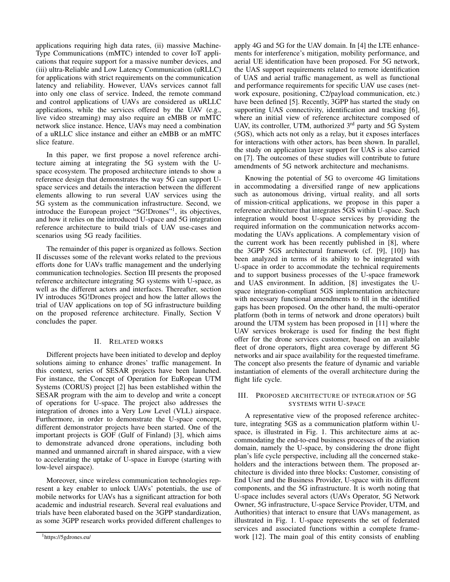applications requiring high data rates, (ii) massive Machine-Type Communications (mMTC) intended to cover IoT applications that require support for a massive number devices, and (iii) ultra-Reliable and Low Latency Communication (uRLLC) for applications with strict requirements on the communication latency and reliability. However, UAVs services cannot fall into only one class of service. Indeed, the remote command and control applications of UAVs are considered as uRLLC applications, while the services offered by the UAV (e.g., live video streaming) may also require an eMBB or mMTC network slice instance. Hence, UAVs may need a combination of a uRLLC slice instance and either an eMBB or an mMTC slice feature.

In this paper, we first propose a novel reference architecture aiming at integrating the 5G system with the Uspace ecosystem. The proposed architecture intends to show a reference design that demonstrates the way 5G can support Uspace services and details the interaction between the different elements allowing to run several UAV services using the 5G system as the communication infrastructure. Second, we introduce the European project "5G!Drones"<sup>1</sup> , its objectives, and how it relies on the introduced U-space and 5G integration reference architecture to build trials of UAV use-cases and scenarios using 5G ready facilities.

The remainder of this paper is organized as follows. Section II discusses some of the relevant works related to the previous efforts done for UAVs traffic management and the underlying communication technologies. Section III presents the proposed reference architecture integrating 5G systems with U-space, as well as the different actors and interfaces. Thereafter, section IV introduces 5G!Drones project and how the latter allows the trial of UAV applications on top of 5G infrastructure building on the proposed reference architecture. Finally, Section V concludes the paper.

# II. RELATED WORKS

Different projects have been initiated to develop and deploy solutions aiming to enhance drones' traffic management. In this context, series of SESAR projects have been launched. For instance, the Concept of Operation for EuRopean UTM Systems (CORUS) project [2] has been established within the SESAR program with the aim to develop and write a concept of operations for U-space. The project also addresses the integration of drones into a Very Low Level (VLL) airspace. Furthermore, in order to demonstrate the U-space concept, different demonstrator projects have been started. One of the important projects is GOF (Gulf of Finland) [3], which aims to demonstrate advanced drone operations, including both manned and unmanned aircraft in shared airspace, with a view to accelerating the uptake of U-space in Europe (starting with low-level airspace).

Moreover, since wireless communication technologies represent a key enabler to unlock UAVs' potentials, the use of mobile networks for UAVs has a significant attraction for both academic and industrial research. Several real evaluations and trials have been elaborated based on the 3GPP standardization, as some 3GPP research works provided different challenges to apply 4G and 5G for the UAV domain. In [4] the LTE enhancements for interference's mitigation, mobility performance, and aerial UE identification have been proposed. For 5G network, the UAS support requirements related to remote identification of UAS and aerial traffic management, as well as functional and performance requirements for specific UAV use cases (network exposure, positioning, C2/payload communication, etc.) have been defined [5]. Recently, 3GPP has started the study on supporting UAS connectivity, identification and tracking [6], where an initial view of reference architecture composed of UAV, its controller, UTM, authorized 3<sup>rd</sup> party and 5G System (5GS), which acts not only as a relay, but it exposes interfaces for interactions with other actors, has been shown. In parallel, the study on application layer support for UAS is also carried on [7]. The outcomes of these studies will contribute to future amendments of 5G network architecture and mechanisms.

Knowing the potential of 5G to overcome 4G limitations in accommodating a diversified range of new applications such as autonomous driving, virtual reality, and all sorts of mission-critical applications, we propose in this paper a reference architecture that integrates 5GS within U-space. Such integration would boost U-space services by providing the required information on the communication networks accommodating the UAVs applications. A complementary vision of the current work has been recently published in [8], where the 3GPP 5GS architectural framework (cf. [9], [10]) has been analyzed in terms of its ability to be integrated with U-space in order to accommodate the technical requirements and to support business processes of the U-space framework and UAS environment. In addition, [8] investigates the Uspace integration-compliant 5GS implementation architecture with necessary functional amendments to fill in the identified gaps has been proposed. On the other hand, the multi-operator platform (both in terms of network and drone operators) built around the UTM system has been proposed in [11] where the UAV services brokerage is used for finding the best flight offer for the drone services customer, based on an available fleet of drone operators, flight area coverage by different 5G networks and air space availability for the requested timeframe. The concept also presents the feature of dynamic and variable instantiation of elements of the overall architecture during the flight life cycle.

# III. PROPOSED ARCHITECTURE OF INTEGRATION OF 5G SYSTEMS WITH U-SPACE

A representative view of the proposed reference architecture, integrating 5GS as a communication platform within Uspace, is illustrated in Fig. 1. This architecture aims at accommodating the end-to-end business processes of the aviation domain, namely the U-space, by considering the drone flight plan's life cycle perspective, including all the concerned stakeholders and the interactions between them. The proposed architecture is divided into three blocks: Customer, consisting of End User and the Business Provider, U-space with its different components, and the 5G infrastructure. It is worth noting that U-space includes several actors (UAVs Operator, 5G Network Owner, 5G infrastructure, U-space Service Provider, UTM, and Authorities) that interact to ensure that UAVs management, as illustrated in Fig. 1. U-space represents the set of federated services and associated functions within a complete framework [12]. The main goal of this entity consists of enabling

<sup>1</sup>https://5gdrones.eu/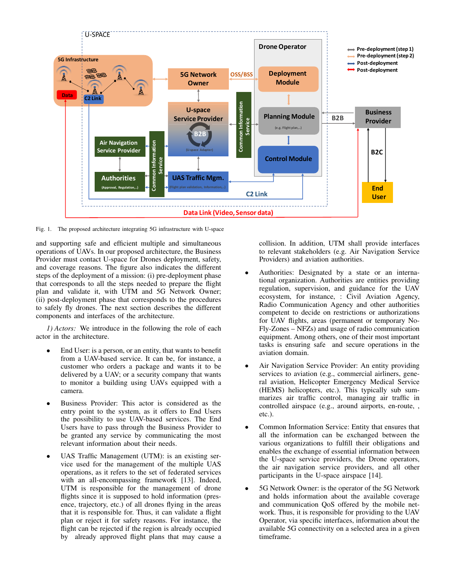

Fig. 1. The proposed architecture integrating 5G infrastructure with U-space

and supporting safe and efficient multiple and simultaneous operations of UAVs. In our proposed architecture, the Business Provider must contact U-space for Drones deployment, safety, and coverage reasons. The figure also indicates the different steps of the deployment of a mission: (i) pre-deployment phase that corresponds to all the steps needed to prepare the flight plan and validate it, with UTM and 5G Network Owner; (ii) post-deployment phase that corresponds to the procedures to safely fly drones. The next section describes the different components and interfaces of the architecture.

*1) Actors:* We introduce in the following the role of each actor in the architecture.

- End User: is a person, or an entity, that wants to benefit from a UAV-based service. It can be, for instance, a customer who orders a package and wants it to be delivered by a UAV; or a security company that wants to monitor a building using UAVs equipped with a camera.
- Business Provider: This actor is considered as the entry point to the system, as it offers to End Users the possibility to use UAV-based services. The End Users have to pass through the Business Provider to be granted any service by communicating the most relevant information about their needs.
- UAS Traffic Management (UTM): is an existing service used for the management of the multiple UAS operations, as it refers to the set of federated services with an all-encompassing framework [13]. Indeed, UTM is responsible for the management of drone flights since it is supposed to hold information (presence, trajectory, etc.) of all drones flying in the areas that it is responsible for. Thus, it can validate a flight plan or reject it for safety reasons. For instance, the flight can be rejected if the region is already occupied by already approved flight plans that may cause a

collision. In addition, UTM shall provide interfaces to relevant stakeholders (e.g. Air Navigation Service Providers) and aviation authorities.

- Authorities: Designated by a state or an international organization. Authorities are entities providing regulation, supervision, and guidance for the UAV ecosystem, for instance, : Civil Aviation Agency, Radio Communication Agency and other authorities competent to decide on restrictions or authorizations for UAV flights, areas (permanent or temporary No-Fly-Zones – NFZs) and usage of radio communication equipment. Among others, one of their most important tasks is ensuring safe and secure operations in the aviation domain.
- Air Navigation Service Provider: An entity providing services to aviation (e.g., commercial airliners, general aviation, Helicopter Emergency Medical Service (HEMS) helicopters, etc.). This typically sub summarizes air traffic control, managing air traffic in controlled airspace (e.g., around airports, en-route, , etc.).
- Common Information Service: Entity that ensures that all the information can be exchanged between the various organizations to fulfill their obligations and enables the exchange of essential information between the U-space service providers, the Drone operators, the air navigation service providers, and all other participants in the U-space airspace [14].
- 5G Network Owner: is the operator of the 5G Network and holds information about the available coverage and communication QoS offered by the mobile network. Thus, it is responsible for providing to the UAV Operator, via specific interfaces, information about the available 5G connectivity on a selected area in a given timeframe.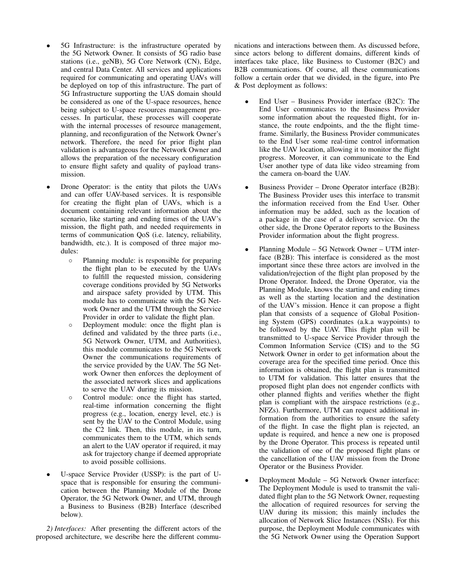- 5G Infrastructure: is the infrastructure operated by the 5G Network Owner. It consists of 5G radio base stations (i.e., geNB), 5G Core Network (CN), Edge, and central Data Center. All services and applications required for communicating and operating UAVs will be deployed on top of this infrastructure. The part of 5G Infrastructure supporting the UAS domain should be considered as one of the U-space resources, hence being subject to U-space resources management processes. In particular, these processes will cooperate with the internal processes of resource management, planning, and reconfiguration of the Network Owner's network. Therefore, the need for prior flight plan validation is advantageous for the Network Owner and allows the preparation of the necessary configuration to ensure flight safety and quality of payload transmission.
- Drone Operator: is the entity that pilots the UAVs and can offer UAV-based services. It is responsible for creating the flight plan of UAVs, which is a document containing relevant information about the scenario, like starting and ending times of the UAV's mission, the flight path, and needed requirements in terms of communication QoS (i.e. latency, reliability, bandwidth, etc.). It is composed of three major modules:
	- Planning module: is responsible for preparing the flight plan to be executed by the UAVs to fulfill the requested mission, considering coverage conditions provided by 5G Networks and airspace safety provided by UTM. This module has to communicate with the 5G Network Owner and the UTM through the Service Provider in order to validate the flight plan.
	- Deployment module: once the flight plan is defined and validated by the three parts (i.e., 5G Network Owner, UTM, and Authorities), this module communicates to the 5G Network Owner the communications requirements of the service provided by the UAV. The 5G Network Owner then enforces the deployment of the associated network slices and applications to serve the UAV during its mission.
	- Control module: once the flight has started, real-time information concerning the flight progress (e.g., location, energy level, etc.) is sent by the UAV to the Control Module, using the C2 link. Then, this module, in its turn, communicates them to the UTM, which sends an alert to the UAV operator if required, it may ask for trajectory change if deemed appropriate to avoid possible collisions.
- U-space Service Provider (USSP): is the part of Uspace that is responsible for ensuring the communication between the Planning Module of the Drone Operator, the 5G Network Owner, and UTM, through a Business to Business (B2B) Interface (described below).

*2) Interfaces:* After presenting the different actors of the proposed architecture, we describe here the different communications and interactions between them. As discussed before, since actors belong to different domains, different kinds of interfaces take place, like Business to Customer (B2C) and B2B communications. Of course, all these communications follow a certain order that we divided, in the figure, into Pre & Post deployment as follows:

- End User Business Provider interface (B2C): The End User communicates to the Business Provider some information about the requested flight, for instance, the route endpoints, and the the flight timeframe. Similarly, the Business Provider communicates to the End User some real-time control information like the UAV location, allowing it to monitor the flight progress. Moreover, it can communicate to the End User another type of data like video streaming from the camera on-board the UAV.
- Business Provider Drone Operator interface (B2B): The Business Provider uses this interface to transmit the information received from the End User. Other information may be added, such as the location of a package in the case of a delivery service. On the other side, the Drone Operator reports to the Business Provider information about the flight progress.
- Planning Module 5G Network Owner UTM interface (B2B): This interface is considered as the most important since these three actors are involved in the validation/rejection of the flight plan proposed by the Drone Operator. Indeed, the Drone Operator, via the Planning Module, knows the starting and ending times as well as the starting location and the destination of the UAV's mission. Hence it can propose a flight plan that consists of a sequence of Global Positioning System (GPS) coordinates (a.k.a waypoints) to be followed by the UAV. This flight plan will be transmitted to U-space Service Provider through the Common Information Service (CIS) and to the 5G Network Owner in order to get information about the coverage area for the specified time period. Once this information is obtained, the flight plan is transmitted to UTM for validation. This latter ensures that the proposed flight plan does not engender conflicts with other planned flights and verifies whether the flight plan is compliant with the airspace restrictions (e.g., NFZs). Furthermore, UTM can request additional information from the authorities to ensure the safety of the flight. In case the flight plan is rejected, an update is required, and hence a new one is proposed by the Drone Operator. This process is repeated until the validation of one of the proposed flight plans or the cancellation of the UAV mission from the Drone Operator or the Business Provider.
- Deployment Module 5G Network Owner interface: The Deployment Module is used to transmit the validated flight plan to the 5G Network Owner, requesting the allocation of required resources for serving the UAV during its mission; this mainly includes the allocation of Network Slice Instances (NSIs). For this purpose, the Deployment Module communicates with the 5G Network Owner using the Operation Support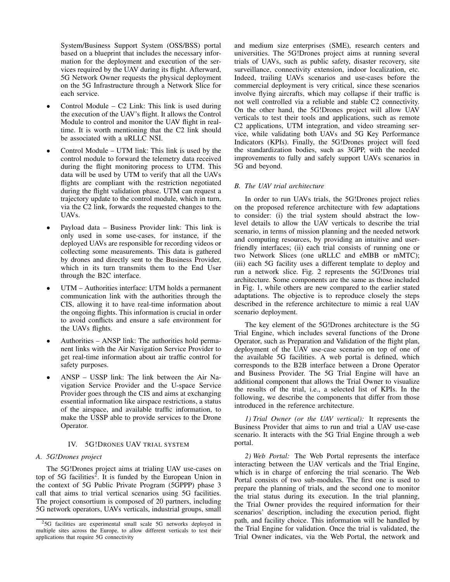System/Business Support System (OSS/BSS) portal based on a blueprint that includes the necessary information for the deployment and execution of the services required by the UAV during its flight. Afterward, 5G Network Owner requests the physical deployment on the 5G Infrastructure through a Network Slice for each service.

- Control Module  $C2$  Link: This link is used during the execution of the UAV's flight. It allows the Control Module to control and monitor the UAV flight in realtime. It is worth mentioning that the C2 link should be associated with a uRLLC NSI.
- Control Module UTM link: This link is used by the control module to forward the telemetry data received during the flight monitoring process to UTM. This data will be used by UTM to verify that all the UAVs flights are compliant with the restriction negotiated during the flight validation phase. UTM can request a trajectory update to the control module, which in turn, via the C2 link, forwards the requested changes to the UAVs.
- Payload data Business Provider link: This link is only used in some use-cases, for instance, if the deployed UAVs are responsible for recording videos or collecting some measurements. This data is gathered by drones and directly sent to the Business Provider, which in its turn transmits them to the End User through the B2C interface.
- UTM Authorities interface: UTM holds a permanent communication link with the authorities through the CIS, allowing it to have real-time information about the ongoing flights. This information is crucial in order to avoid conflicts and ensure a safe environment for the UAVs flights.
- Authorities ANSP link: The authorities hold permanent links with the Air Navigation Service Provider to get real-time information about air traffic control for safety purposes.
- ANSP USSP link: The link between the Air Navigation Service Provider and the U-space Service Provider goes through the CIS and aims at exchanging essential information like airspace restrictions, a status of the airspace, and available traffic information, to make the USSP able to provide services to the Drone Operator.

## IV. 5G!DRONES UAV TRIAL SYSTEM

## *A. 5G!Drones project*

The 5G!Drones project aims at trialing UAV use-cases on top of 5G facilities<sup>2</sup>. It is funded by the European Union in the context of 5G Public Private Program (5GPPP) phase 3 call that aims to trial vertical scenarios using 5G facilities. The project consortium is composed of 20 partners, including 5G network operators, UAVs verticals, industrial groups, small and medium size enterprises (SME), research centers and universities. The 5G!Drones project aims at running several trials of UAVs, such as public safety, disaster recovery, site surveillance, connectivity extension, indoor localization, etc. Indeed, trailing UAVs scenarios and use-cases before the commercial deployment is very critical, since these scenarios involve flying aircrafts, which may collapse if their traffic is not well controlled via a reliable and stable C2 connectivity. On the other hand, the 5G!Drones project will allow UAV verticals to test their tools and applications, such as remote C2 applications, UTM integration, and video streaming service, while validating both UAVs and 5G Key Performance Indicators (KPIs). Finally, the 5G!Drones project will feed the standardization bodies, such as 3GPP, with the needed improvements to fully and safely support UAVs scenarios in 5G and beyond.

## *B. The UAV trial architecture*

In order to run UAVs trials, the 5G!Drones project relies on the proposed reference architecture with few adaptations to consider: (i) the trial system should abstract the lowlevel details to allow the UAV verticals to describe the trial scenario, in terms of mission planning and the needed network and computing resources, by providing an intuitive and userfriendly interfaces; (ii) each trial consists of running one or two Network Slices (one uRLLC and eMBB or mMTC); (iii) each 5G facility uses a different template to deploy and run a network slice. Fig. 2 represents the 5G!Drones trial architecture. Some components are the same as those included in Fig. 1, while others are new compared to the earlier stated adaptations. The objective is to reproduce closely the steps described in the reference architecture to mimic a real UAV scenario deployment.

The key element of the 5G!Drones architecture is the 5G Trial Engine, which includes several functions of the Drone Operator, such as Preparation and Validation of the flight plan, deployment of the UAV use-case scenario on top of one of the available 5G facilities. A web portal is defined, which corresponds to the B2B interface between a Drone Operator and Business Provider. The 5G Trial Engine will have an additional component that allows the Trial Owner to visualize the results of the trial, i.e., a selected list of KPIs. In the following, we describe the components that differ from those introduced in the reference architecture.

*1) Trial Owner (or the UAV vertical):* It represents the Business Provider that aims to run and trial a UAV use-case scenario. It interacts with the 5G Trial Engine through a web portal.

*2) Web Portal:* The Web Portal represents the interface interacting between the UAV verticals and the Trial Engine, which is in charge of enforcing the trial scenario. The Web Portal consists of two sub-modules. The first one is used to prepare the planning of trials, and the second one to monitor the trial status during its execution. In the trial planning, the Trial Owner provides the required information for their scenarios' description, including the execution period, flight path, and facility choice. This information will be handled by the Trial Engine for validation. Once the trial is validated, the Trial Owner indicates, via the Web Portal, the network and

<sup>2</sup>5G facilities are experimental small scale 5G networks deployed in multiple sites across the Europe, to allow different verticals to test their applications that require 5G connectivity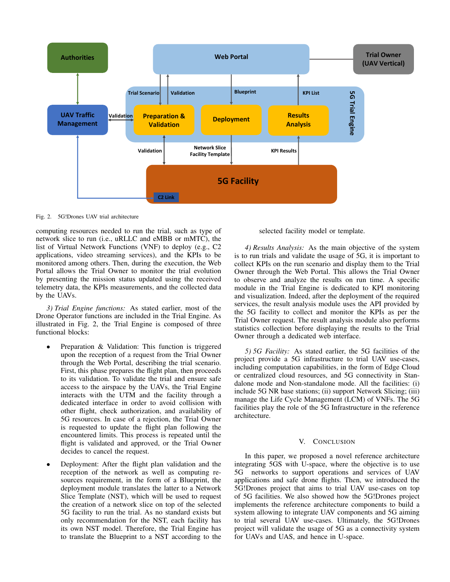

Fig. 2. 5G!Drones UAV trial architecture

computing resources needed to run the trial, such as type of network slice to run (i.e., uRLLC and eMBB or mMTC), the list of Virtual Network Functions (VNF) to deploy (e.g., C2 applications, video streaming services), and the KPIs to be monitored among others. Then, during the execution, the Web Portal allows the Trial Owner to monitor the trial evolution by presenting the mission status updated using the received telemetry data, the KPIs measurements, and the collected data by the UAVs.

*3) Trial Engine functions:* As stated earlier, most of the Drone Operator functions are included in the Trial Engine. As illustrated in Fig. 2, the Trial Engine is composed of three functional blocks:

- Preparation & Validation: This function is triggered upon the reception of a request from the Trial Owner through the Web Portal, describing the trial scenario. First, this phase prepares the flight plan, then proceeds to its validation. To validate the trial and ensure safe access to the airspace by the UAVs, the Trial Engine interacts with the UTM and the facility through a dedicated interface in order to avoid collision with other flight, check authorization, and availability of 5G resources. In case of a rejection, the Trial Owner is requested to update the flight plan following the encountered limits. This process is repeated until the flight is validated and approved, or the Trial Owner decides to cancel the request.
- Deployment: After the flight plan validation and the reception of the network as well as computing resources requirement, in the form of a Blueprint, the deployment module translates the latter to a Network Slice Template (NST), which will be used to request the creation of a network slice on top of the selected 5G facility to run the trial. As no standard exists but only recommendation for the NST, each facility has its own NST model. Therefore, the Trial Engine has to translate the Blueprint to a NST according to the

selected facility model or template.

*4) Results Analysis:* As the main objective of the system is to run trials and validate the usage of 5G, it is important to collect KPIs on the run scenario and display them to the Trial Owner through the Web Portal. This allows the Trial Owner to observe and analyze the results on run time. A specific module in the Trial Engine is dedicated to KPI monitoring and visualization. Indeed, after the deployment of the required services, the result analysis module uses the API provided by the 5G facility to collect and monitor the KPIs as per the Trial Owner request. The result analysis module also performs statistics collection before displaying the results to the Trial Owner through a dedicated web interface.

*5) 5G Facility:* As stated earlier, the 5G facilities of the project provide a 5G infrastructure to trial UAV use-cases, including computation capabilities, in the form of Edge Cloud or centralized cloud resources, and 5G connectivity in Standalone mode and Non-standalone mode. All the facilities: (i) include 5G NR base stations; (ii) support Network Slicing; (iii) manage the Life Cycle Management (LCM) of VNFs. The 5G facilities play the role of the 5G Infrastructure in the reference architecture.

### V. CONCLUSION

In this paper, we proposed a novel reference architecture integrating 5GS with U-space, where the objective is to use 5G networks to support operations and services of UAV applications and safe drone flights. Then, we introduced the 5G!Drones project that aims to trial UAV use-cases on top of 5G facilities. We also showed how the 5G!Drones project implements the reference architecture components to build a system allowing to integrate UAV components and 5G aiming to trial several UAV use-cases. Ultimately, the 5G!Drones project will validate the usage of 5G as a connectivity system for UAVs and UAS, and hence in U-space.